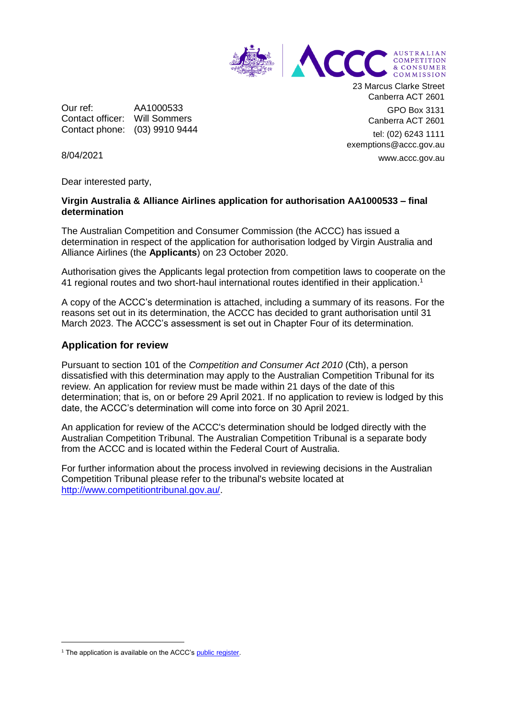

Our ref: AA1000533 Contact officer: Will Sommers Contact phone: (03) 9910 9444 23 Marcus Clarke Street Canberra ACT 2601

> GPO Box 3131 Canberra ACT 2601

tel: (02) 6243 1111 exemptions@accc.gov.au www.accc.gov.au

8/04/2021

Dear interested party,

## **Virgin Australia & Alliance Airlines application for authorisation AA1000533 – final determination**

The Australian Competition and Consumer Commission (the ACCC) has issued a determination in respect of the application for authorisation lodged by Virgin Australia and Alliance Airlines (the **Applicants**) on 23 October 2020.

Authorisation gives the Applicants legal protection from competition laws to cooperate on the 41 regional routes and two short-haul international routes identified in their application.<sup>1</sup>

A copy of the ACCC's determination is attached, including a summary of its reasons. For the reasons set out in its determination, the ACCC has decided to grant authorisation until 31 March 2023. The ACCC's assessment is set out in Chapter Four of its determination.

## **Application for review**

Pursuant to section 101 of the *Competition and Consumer Act 2010* (Cth), a person dissatisfied with this determination may apply to the Australian Competition Tribunal for its review. An application for review must be made within 21 days of the date of this determination; that is, on or before 29 April 2021. If no application to review is lodged by this date, the ACCC's determination will come into force on 30 April 2021.

An application for review of the ACCC's determination should be lodged directly with the Australian Competition Tribunal. The Australian Competition Tribunal is a separate body from the ACCC and is located within the Federal Court of Australia.

For further information about the process involved in reviewing decisions in the Australian Competition Tribunal please refer to the tribunal's website located at [http://www.competitiontribunal.gov.au/.](http://www.competitiontribunal.gov.au/)

-

<sup>&</sup>lt;sup>1</sup> The application is available on the ACCC'[s public register.](https://www.accc.gov.au/public-registers/authorisations-and-notifications-registers/authorisations-register/virgin-australia-alliance-airlines)